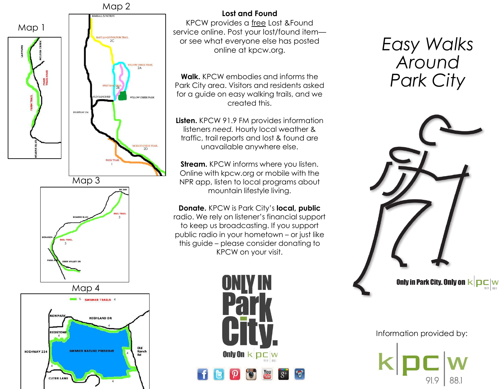

4

# **Lost and Found**

KPCW provides a free Lost &Found service online. Post your lost/found item or see what everyone else has posted online at kpcw.org.

**Walk.** KPCW embodies and informs the Park City area. Visitors and residents asked for a guide on easy walking trails, and we created this.

**Listen.** KPCW 91.9 FM provides information listeners *need.* Hourly local weather & traffic, trail reports and lost & found are unavailable anywhere else.

**Stream.** KPCW informs where you listen. Online with kpcw.org or mobile with the NPR app, listen to local programs about mountain lifestyle living.

**Donate.** KPCW is Park City's **local, public** radio. We rely on listener's financial support to keep us broadcasting. If you support public radio in your hometown – or just like this guide – please consider donating to KPCW on your visit.



# *Easy Walks Around Park City*



Information provided by: